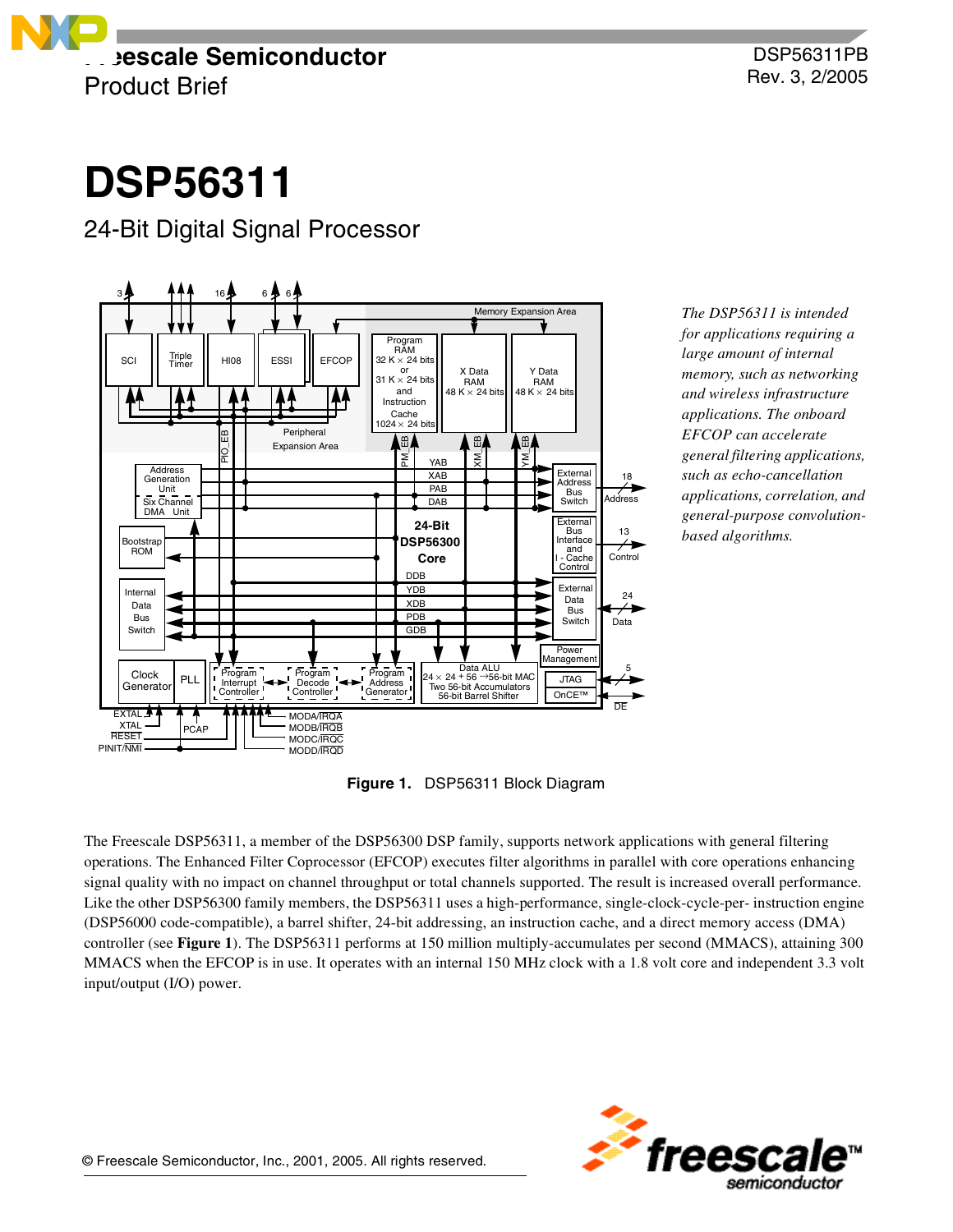

# **DSP56311**

## 24-Bit Digital Signal Processor



*The DSP56311 is intended for applications requiring a large amount of internal memory, such as networking and wireless infrastructure applications. The onboard EFCOP can accelerate general filtering applications, such as echo-cancellation applications, correlation, and general-purpose convolutionbased algorithms.* 

**Figure 1.** DSP56311 Block Diagram

<span id="page-0-0"></span>The Freescale DSP56311, a member of the DSP56300 DSP family, supports network applications with general filtering operations. The Enhanced Filter Coprocessor (EFCOP) executes filter algorithms in parallel with core operations enhancing signal quality with no impact on channel throughput or total channels supported. The result is increased overall performance. Like the other DSP56300 family members, the DSP56311 uses a high-performance, single-clock-cycle-per- instruction engine (DSP56000 code-compatible), a barrel shifter, 24-bit addressing, an instruction cache, and a direct memory access (DMA) controller (see **[Figure 1](#page-0-0)**). The DSP56311 performs at 150 million multiply-accumulates per second (MMACS), attaining 300 MMACS when the EFCOP is in use. It operates with an internal 150 MHz clock with a 1.8 volt core and independent 3.3 volt input/output (I/O) power.

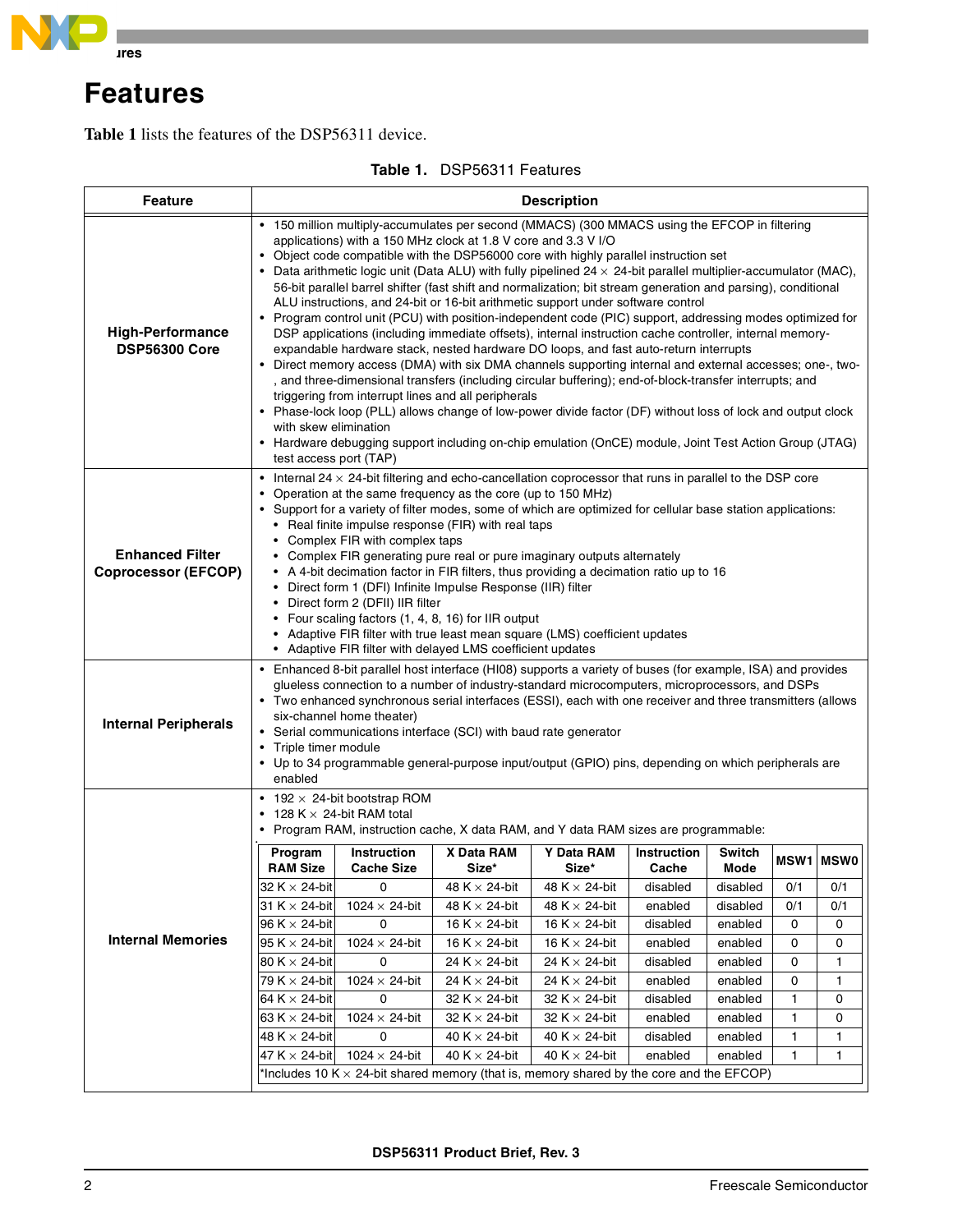

## **Features**

**[Table 1](#page-1-0)** lists the features of the DSP56311 device.

<span id="page-1-0"></span>

| <b>Feature</b>                                       | <b>Description</b>                                                                                                                                                                                                                                                                                                                                                                                                                                                                                                                                                                                                                                                                                                                                                                                                                                                                                                                                                                                                                                                                                                                                                                                                                                                                                                                                                                                                                                                |                                         |                                                                                      |                            |                             |                       |                  |     |
|------------------------------------------------------|-------------------------------------------------------------------------------------------------------------------------------------------------------------------------------------------------------------------------------------------------------------------------------------------------------------------------------------------------------------------------------------------------------------------------------------------------------------------------------------------------------------------------------------------------------------------------------------------------------------------------------------------------------------------------------------------------------------------------------------------------------------------------------------------------------------------------------------------------------------------------------------------------------------------------------------------------------------------------------------------------------------------------------------------------------------------------------------------------------------------------------------------------------------------------------------------------------------------------------------------------------------------------------------------------------------------------------------------------------------------------------------------------------------------------------------------------------------------|-----------------------------------------|--------------------------------------------------------------------------------------|----------------------------|-----------------------------|-----------------------|------------------|-----|
| <b>High-Performance</b><br><b>DSP56300 Core</b>      | • 150 million multiply-accumulates per second (MMACS) (300 MMACS using the EFCOP in filtering<br>applications) with a 150 MHz clock at 1.8 V core and 3.3 V I/O<br>• Object code compatible with the DSP56000 core with highly parallel instruction set<br>• Data arithmetic logic unit (Data ALU) with fully pipelined $24 \times 24$ -bit parallel multiplier-accumulator (MAC),<br>56-bit parallel barrel shifter (fast shift and normalization; bit stream generation and parsing), conditional<br>ALU instructions, and 24-bit or 16-bit arithmetic support under software control<br>• Program control unit (PCU) with position-independent code (PIC) support, addressing modes optimized for<br>DSP applications (including immediate offsets), internal instruction cache controller, internal memory-<br>expandable hardware stack, nested hardware DO loops, and fast auto-return interrupts<br>• Direct memory access (DMA) with six DMA channels supporting internal and external accesses; one-, two-<br>, and three-dimensional transfers (including circular buffering); end-of-block-transfer interrupts; and<br>triggering from interrupt lines and all peripherals<br>• Phase-lock loop (PLL) allows change of low-power divide factor (DF) without loss of lock and output clock<br>with skew elimination<br>• Hardware debugging support including on-chip emulation (OnCE) module, Joint Test Action Group (JTAG)<br>test access port (TAP) |                                         |                                                                                      |                            |                             |                       |                  |     |
| <b>Enhanced Filter</b><br><b>Coprocessor (EFCOP)</b> | $\bullet$ Internal 24 $\times$ 24-bit filtering and echo-cancellation coprocessor that runs in parallel to the DSP core<br>Operation at the same frequency as the core (up to 150 MHz)<br>• Support for a variety of filter modes, some of which are optimized for cellular base station applications:<br>• Real finite impulse response (FIR) with real taps<br>• Complex FIR with complex taps<br>• Complex FIR generating pure real or pure imaginary outputs alternately<br>• A 4-bit decimation factor in FIR filters, thus providing a decimation ratio up to 16<br>• Direct form 1 (DFI) Infinite Impulse Response (IIR) filter<br>• Direct form 2 (DFII) IIR filter<br>• Four scaling factors (1, 4, 8, 16) for IIR output<br>• Adaptive FIR filter with true least mean square (LMS) coefficient updates<br>• Adaptive FIR filter with delayed LMS coefficient updates                                                                                                                                                                                                                                                                                                                                                                                                                                                                                                                                                                                   |                                         |                                                                                      |                            |                             |                       |                  |     |
| <b>Internal Peripherals</b>                          | • Enhanced 8-bit parallel host interface (HI08) supports a variety of buses (for example, ISA) and provides<br>glueless connection to a number of industry-standard microcomputers, microprocessors, and DSPs<br>• Two enhanced synchronous serial interfaces (ESSI), each with one receiver and three transmitters (allows<br>six-channel home theater)<br>• Serial communications interface (SCI) with baud rate generator<br>• Triple timer module<br>• Up to 34 programmable general-purpose input/output (GPIO) pins, depending on which peripherals are<br>enabled                                                                                                                                                                                                                                                                                                                                                                                                                                                                                                                                                                                                                                                                                                                                                                                                                                                                                          |                                         |                                                                                      |                            |                             |                       |                  |     |
|                                                      | • 128 K $\times$ 24-bit RAM total                                                                                                                                                                                                                                                                                                                                                                                                                                                                                                                                                                                                                                                                                                                                                                                                                                                                                                                                                                                                                                                                                                                                                                                                                                                                                                                                                                                                                                 | • 192 $\times$ 24-bit bootstrap ROM     | • Program RAM, instruction cache, X data RAM, and Y data RAM sizes are programmable: |                            |                             |                       |                  |     |
|                                                      | Program<br><b>RAM Size</b>                                                                                                                                                                                                                                                                                                                                                                                                                                                                                                                                                                                                                                                                                                                                                                                                                                                                                                                                                                                                                                                                                                                                                                                                                                                                                                                                                                                                                                        | <b>Instruction</b><br><b>Cache Size</b> | X Data RAM<br>Size*                                                                  | <b>Y Data RAM</b><br>Size* | <b>Instruction</b><br>Cache | <b>Switch</b><br>Mode | <b>MSW1 MSW0</b> |     |
|                                                      | 32 K $\times$ 24-bit                                                                                                                                                                                                                                                                                                                                                                                                                                                                                                                                                                                                                                                                                                                                                                                                                                                                                                                                                                                                                                                                                                                                                                                                                                                                                                                                                                                                                                              | 0                                       | 48 K $\times$ 24-bit                                                                 | 48 K $\times$ 24-bit       | disabled                    | disabled              | 0/1              | 0/1 |
| <b>Internal Memories</b>                             | 31 K $\times$ 24-bit                                                                                                                                                                                                                                                                                                                                                                                                                                                                                                                                                                                                                                                                                                                                                                                                                                                                                                                                                                                                                                                                                                                                                                                                                                                                                                                                                                                                                                              | $1024 \times 24$ -bit                   | 48 K $\times$ 24-bit                                                                 | 48 K $\times$ 24-bit       | enabled                     | disabled              | 0/1              | 0/1 |
|                                                      | 96 K $\times$ 24-bit                                                                                                                                                                                                                                                                                                                                                                                                                                                                                                                                                                                                                                                                                                                                                                                                                                                                                                                                                                                                                                                                                                                                                                                                                                                                                                                                                                                                                                              | 0                                       | 16 K $\times$ 24-bit                                                                 | 16 K $\times$ 24-bit       | disabled                    | enabled               | 0                | 0   |
|                                                      | 95 K $\times$ 24-bit                                                                                                                                                                                                                                                                                                                                                                                                                                                                                                                                                                                                                                                                                                                                                                                                                                                                                                                                                                                                                                                                                                                                                                                                                                                                                                                                                                                                                                              | $1024 \times 24$ -bit                   | 16 K $\times$ 24-bit                                                                 | 16 K $\times$ 24-bit       | enabled                     | enabled               | 0                | 0   |
|                                                      | 80 K × 24-bit                                                                                                                                                                                                                                                                                                                                                                                                                                                                                                                                                                                                                                                                                                                                                                                                                                                                                                                                                                                                                                                                                                                                                                                                                                                                                                                                                                                                                                                     | 0                                       | 24 K $\times$ 24-bit                                                                 | 24 K $\times$ 24-bit       | disabled                    | enabled               | 0                | 1   |
|                                                      | 79 K × 24-bit                                                                                                                                                                                                                                                                                                                                                                                                                                                                                                                                                                                                                                                                                                                                                                                                                                                                                                                                                                                                                                                                                                                                                                                                                                                                                                                                                                                                                                                     | $1024 \times 24$ -bit                   | 24 K $\times$ 24-bit                                                                 | 24 K $\times$ 24-bit       | enabled                     | enabled               | 0                | 1   |
|                                                      | 64 K $\times$ 24-bit                                                                                                                                                                                                                                                                                                                                                                                                                                                                                                                                                                                                                                                                                                                                                                                                                                                                                                                                                                                                                                                                                                                                                                                                                                                                                                                                                                                                                                              | 0                                       | 32 K $\times$ 24-bit                                                                 | 32 K $\times$ 24-bit       | disabled                    | enabled               | 1                | 0   |
|                                                      | 63 K $\times$ 24-bit                                                                                                                                                                                                                                                                                                                                                                                                                                                                                                                                                                                                                                                                                                                                                                                                                                                                                                                                                                                                                                                                                                                                                                                                                                                                                                                                                                                                                                              | $1024 \times 24$ -bit                   | 32 K $\times$ 24-bit                                                                 | 32 K $\times$ 24-bit       | enabled                     | enabled               | 1                | 0   |
|                                                      | 48 K $\times$ 24-bit                                                                                                                                                                                                                                                                                                                                                                                                                                                                                                                                                                                                                                                                                                                                                                                                                                                                                                                                                                                                                                                                                                                                                                                                                                                                                                                                                                                                                                              | 0                                       | 40 K $\times$ 24-bit                                                                 | 40 K $\times$ 24-bit       | disabled                    | enabled               | 1                | 1   |
|                                                      | 47 K $\times$ 24-bit                                                                                                                                                                                                                                                                                                                                                                                                                                                                                                                                                                                                                                                                                                                                                                                                                                                                                                                                                                                                                                                                                                                                                                                                                                                                                                                                                                                                                                              | $1024 \times 24$ -bit                   | 40 K $\times$ 24-bit                                                                 | 40 K $\times$ 24-bit       | enabled                     | enabled               | 1                | 1   |
|                                                      | *Includes 10 K $\times$ 24-bit shared memory (that is, memory shared by the core and the EFCOP)                                                                                                                                                                                                                                                                                                                                                                                                                                                                                                                                                                                                                                                                                                                                                                                                                                                                                                                                                                                                                                                                                                                                                                                                                                                                                                                                                                   |                                         |                                                                                      |                            |                             |                       |                  |     |

## **Table 1.** DSP56311 Features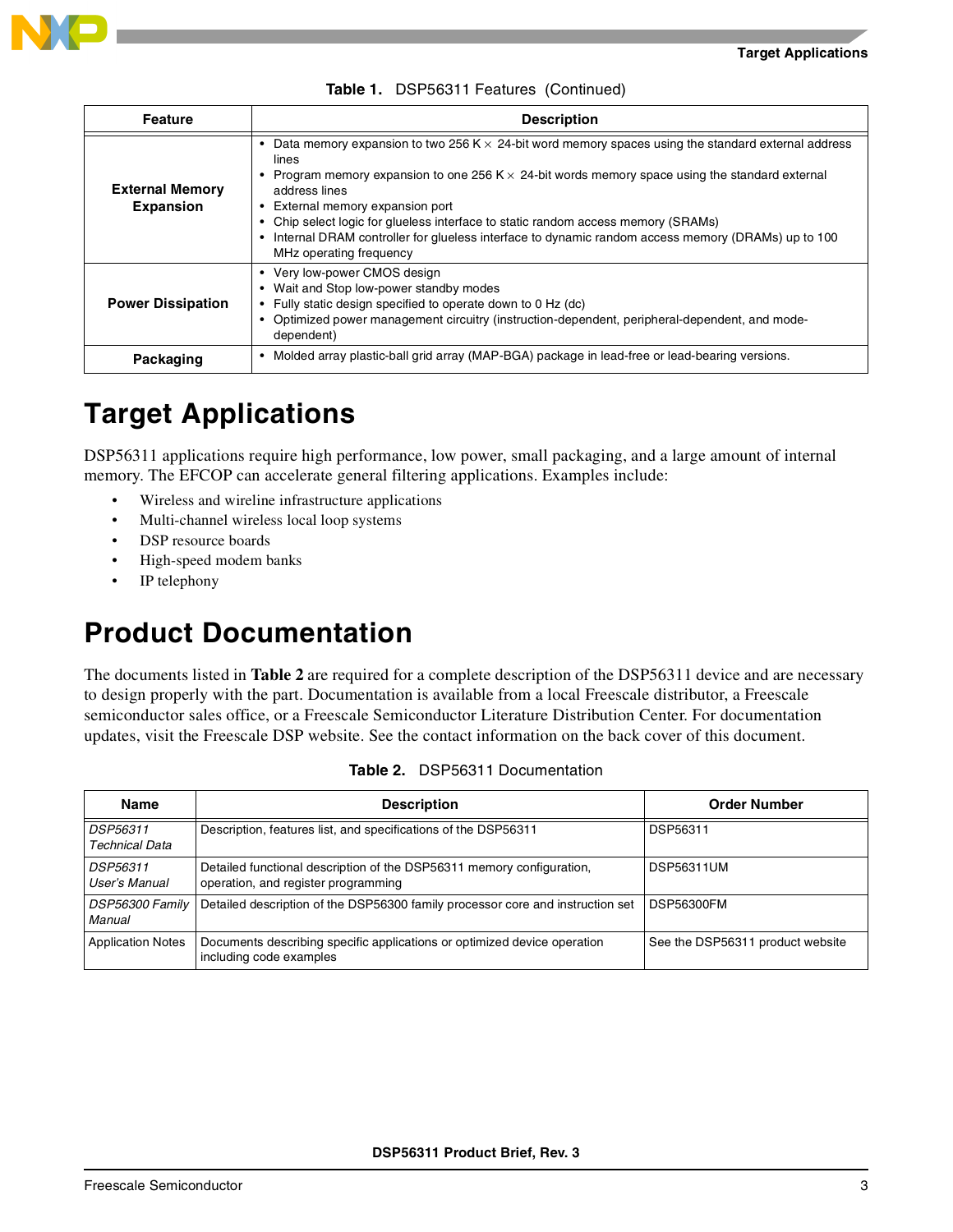

|  | Table 1. DSP56311 Features (Continued) |  |  |  |
|--|----------------------------------------|--|--|--|
|--|----------------------------------------|--|--|--|

| <b>Feature</b>                             | <b>Description</b>                                                                                                                                                                                                                                                                                                                                                                                                                                                                                   |  |  |
|--------------------------------------------|------------------------------------------------------------------------------------------------------------------------------------------------------------------------------------------------------------------------------------------------------------------------------------------------------------------------------------------------------------------------------------------------------------------------------------------------------------------------------------------------------|--|--|
| <b>External Memory</b><br><b>Expansion</b> | Data memory expansion to two 256 K $\times$ 24-bit word memory spaces using the standard external address<br>lines<br>Program memory expansion to one 256 K $\times$ 24-bit words memory space using the standard external<br>address lines<br>• External memory expansion port<br>• Chip select logic for glueless interface to static random access memory (SRAMs)<br>Internal DRAM controller for glueless interface to dynamic random access memory (DRAMs) up to 100<br>MHz operating frequency |  |  |
| <b>Power Dissipation</b>                   | • Very low-power CMOS design<br>• Wait and Stop low-power standby modes<br>• Fully static design specified to operate down to 0 Hz (dc)<br>• Optimized power management circuitry (instruction-dependent, peripheral-dependent, and mode-<br>dependent)                                                                                                                                                                                                                                              |  |  |
| Packaging                                  | • Molded array plastic-ball grid array (MAP-BGA) package in lead-free or lead-bearing versions.                                                                                                                                                                                                                                                                                                                                                                                                      |  |  |

## **Target Applications**

DSP56311 applications require high performance, low power, small packaging, and a large amount of internal memory. The EFCOP can accelerate general filtering applications. Examples include:

- Wireless and wireline infrastructure applications
- Multi-channel wireless local loop systems
- DSP resource boards
- High-speed modem banks
- IP telephony

## **Product Documentation**

The documents listed in **[Table 2](#page-2-0)** are required for a complete description of the DSP56311 device and are necessary to design properly with the part. Documentation is available from a local Freescale distributor, a Freescale semiconductor sales office, or a Freescale Semiconductor Literature Distribution Center. For documentation updates, visit the Freescale DSP website. See the contact information on the back cover of this document.

<span id="page-2-0"></span>

| <b>Name</b>                              | <b>Description</b>                                                                                           | <b>Order Number</b>              |
|------------------------------------------|--------------------------------------------------------------------------------------------------------------|----------------------------------|
| <b>DSP56311</b><br><b>Technical Data</b> | Description, features list, and specifications of the DSP56311                                               | DSP56311                         |
| DSP56311<br>User's Manual                | Detailed functional description of the DSP56311 memory configuration,<br>operation, and register programming | <b>DSP56311UM</b>                |
| DSP56300 Family<br>Manual                | Detailed description of the DSP56300 family processor core and instruction set                               | <b>DSP56300FM</b>                |
| <b>Application Notes</b>                 | Documents describing specific applications or optimized device operation<br>including code examples          | See the DSP56311 product website |

|  | <b>Table 2.</b> DSP56311 Documentation |
|--|----------------------------------------|
|  |                                        |